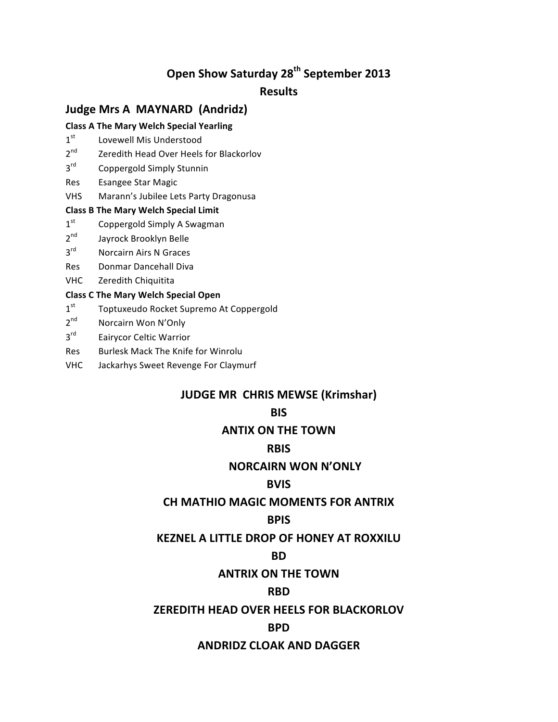# **Open Show Saturday 28<sup>th</sup> September 2013**

# **Results**

# **Judge Mrs A MAYNARD (Andridz)**

#### **Class A The Mary Welch Special Yearling**

- $1<sup>st</sup>$  Lovewell Mis Understood
- 2<sup>nd</sup> Zeredith Head Over Heels for Blackorlov
- 3<sup>rd</sup> Coppergold Simply Stunnin
- Res Esangee Star Magic
- VHS Marann's Jubilee Lets Party Dragonusa

#### **Class B The Mary Welch Special Limit**

- $1<sup>st</sup>$  Coppergold Simply A Swagman
- $2<sup>nd</sup>$  Jayrock Brooklyn Belle
- 3<sup>rd</sup> Norcairn Airs N Graces
- Res Donmar Dancehall Diva
- VHC Zeredith Chiquitita

#### **Class C The Mary Welch Special Open**

- 1<sup>st</sup> Toptuxeudo Rocket Supremo At Coppergold
- 2<sup>nd</sup> Norcairn Won N'Only
- 3rd Eairycor Celtic Warrior
- Res Burlesk Mack The Knife for Winrolu
- VHC Jackarhys Sweet Revenge For Claymurf

# **JUDGE MR CHRIS MEWSE (Krimshar)**

# **BIS**

# **ANTIX ON THE TOWN**

### **RBIS**

# **NORCAIRN WON N'ONLY**

# **BVIS**

# **CH MATHIO MAGIC MOMENTS FOR ANTRIX**

# **BPIS**

# **KEZNEL A LITTLE DROP OF HONEY AT ROXXILU**

### **BD**

# **ANTRIX ON THE TOWN**

# **RBD**

# **ZEREDITH HEAD OVER HEELS FOR BLACKORLOV**

# **BPD**

# **ANDRIDZ%CLOAK%AND%DAGGER**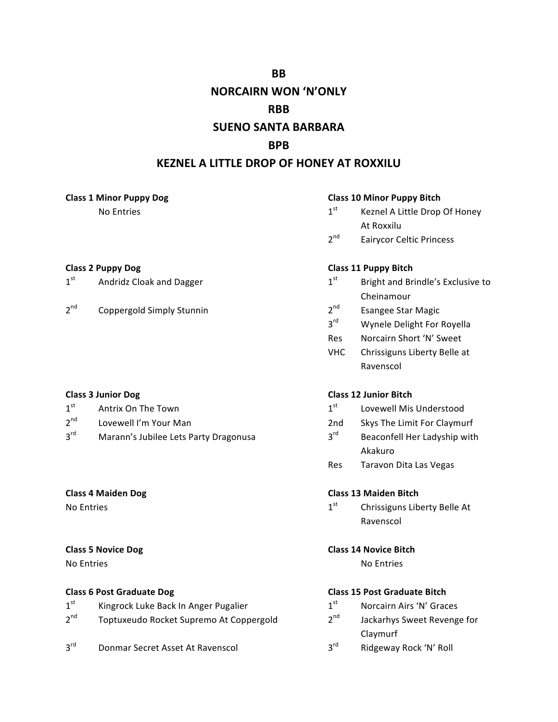**BB** 

# **NORCAIRN WON 'N'ONLY**

### **RBB**

# **SUENO SANTA BARBARA**

# **RPR**

# **KEZNEL A LITTLE DROP OF HONEY AT ROXXILU**

#### **Class 1 Minor Puppy Dog**

No Entries

### **Class 2 Puppy Dog**

- $1<sup>st</sup>$ Andridz Cloak and Dagger
- $2<sup>nd</sup>$ Coppergold Simply Stunnin

#### **Class 3 Junior Dog**

- $1<sup>st</sup>$ Antrix On The Town
- $2^{nd}$ Lovewell I'm Your Man
- $3<sup>rd</sup>$ Marann's Jubilee Lets Party Dragonusa

# **Class 4 Maiden Dog**

No Entries

### **Class 5 Novice Dog**

No Entries

### **Class 6 Post Graduate Dog**

- $1<sup>st</sup>$ Kingrock Luke Back In Anger Pugalier
- $2<sup>nd</sup>$ Toptuxeudo Rocket Supremo At Coppergold
- $3^{\text{rd}}$ Donmar Secret Asset At Ravenscol

#### **Class 10 Minor Puppy Bitch**

- $1<sup>st</sup>$ Keznel A Little Drop Of Honey At Roxxilu
- $2^{nd}$ **Eairycor Celtic Princess**

### **Class 11 Puppy Bitch**

- $1<sup>st</sup>$ Bright and Brindle's Exclusive to Cheinamour
- $2^{nd}$ **Esangee Star Magic**
- $3<sup>rd</sup>$ Wynele Delight For Royella
- Norcairn Short 'N' Sweet Res
- **VHC** Chrissiguns Liberty Belle at Ravenscol

### **Class 12 Junior Bitch**

- $1<sup>st</sup>$ Lovewell Mis Understood
- Skys The Limit For Claymurf  $2nd$
- $3<sup>rd</sup>$ Beaconfell Her Ladyship with Akakuro
- **Res** Taravon Dita Las Vegas

#### **Class 13 Maiden Bitch**

 $1<sup>st</sup>$ Chrissiguns Liberty Belle At Ravenscol

#### **Class 14 Novice Bitch**

No Entries

### **Class 15 Post Graduate Bitch**

- $1<sup>st</sup>$ Norcairn Airs 'N' Graces
- $2<sup>nd</sup>$ Jackarhys Sweet Revenge for Claymurf
- $3^{\text{rd}}$ Ridgeway Rock 'N' Roll